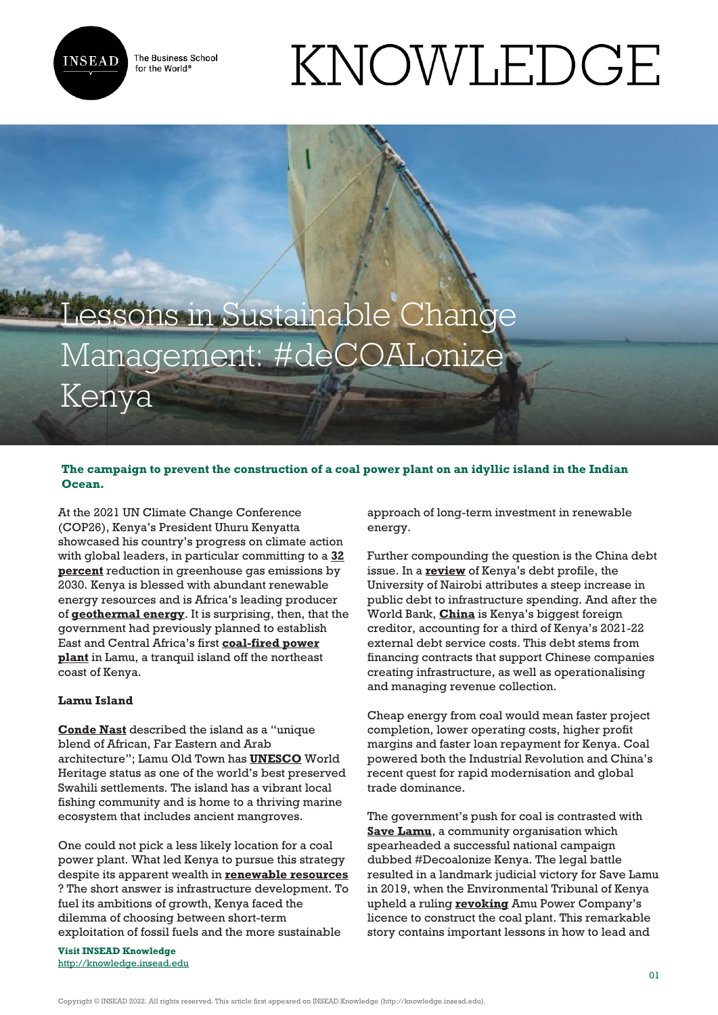

The Business School for the World<sup>®</sup>

# KNOWLEDGE

# Lessons in Sustainable Change Management: #deCOALonize Kenya

# **The campaign to prevent the construction of a coal power plant on an idyllic island in the Indian Ocean.**

At the 2021 UN Climate Change Conference (COP26), Kenya's President Uhuru Kenyatta showcased his country's progress on climate action with global leaders, in particular committing to a **[32](https://www.president.go.ke/2021/04/23/president-kenyatta-showcases-kenyas-renewable-energy-success-story/) [percent](https://www.president.go.ke/2021/04/23/president-kenyatta-showcases-kenyas-renewable-energy-success-story/)** reduction in greenhouse gas emissions by 2030. Kenya is blessed with abundant renewable energy resources and is Africa's leading producer of **[geothermal energy](https://www.thinkgeoenergy.com/kenyas-journey-towards-geothermal-leadership-and-model-for-african-peers/)**. It is surprising, then, that the government had previously planned to establish East and Central Africa's first **[coal-fired power](https://www.climatepolicyinitiative.org/wp-content/uploads/2021/09/EF2021_CoalFinance_20210915_final.pdf) [plant](https://www.climatepolicyinitiative.org/wp-content/uploads/2021/09/EF2021_CoalFinance_20210915_final.pdf)** in Lamu, a tranquil island off the northeast coast of Kenya.

#### **Lamu Island**

**[Conde Nast](https://www.cntraveler.com/story/island-hopping-in-kenyas-lamu-archipelago)** described the island as a "unique blend of African, Far Eastern and Arab architecture"; Lamu Old Town has **[UNESCO](https://whc.unesco.org/en/list/1055/)** World Heritage status as one of the world's best preserved Swahili settlements. The island has a vibrant local fishing community and is home to a thriving marine ecosystem that includes ancient mangroves.

One could not pick a less likely location for a coal power plant. What led Kenya to pursue this strategy despite its apparent wealth in **[renewable resources](https://doi.org/10.1016/j.rser.2011.03.023)** ? The short answer is infrastructure development. To fuel its ambitions of growth, Kenya faced the dilemma of choosing between short-term exploitation of fossil fuels and the more sustainable

**Visit INSEAD Knowledge** <http://knowledge.insead.edu> approach of long-term investment in renewable energy.

Further compounding the question is the China debt issue. In a **[review](https://www.uonbi.ac.ke/news/snapshot-kenya’s-debt-profile-and-dealing-debt)** of Kenya's debt profile, the University of Nairobi attributes a steep increase in public debt to infrastructure spending. And after the World Bank, **[China](https://www.bloomberg.com/news/articles/2021-07-31/kenya-resumes-china-debt-repayment-with-761-million-remittance)** is Kenya's biggest foreign creditor, accounting for a third of Kenya's 2021-22 external debt service costs. This debt stems from financing contracts that support Chinese companies creating infrastructure, as well as operationalising and managing revenue collection.

Cheap energy from coal would mean faster project completion, lower operating costs, higher profit margins and faster loan repayment for Kenya. Coal powered both the Industrial Revolution and China's recent quest for rapid modernisation and global trade dominance.

The government's push for coal is contrasted with **[Save Lamu](https://www.savelamu.org/)**, a community organisation which spearheaded a successful national campaign dubbed #Decoalonize Kenya. The legal battle resulted in a landmark judicial victory for Save Lamu in 2019, when the Environmental Tribunal of Kenya upheld a ruling **[revoking](https://www.unep.org/news-and-stories/story/lamu-coal-plant-case-reveals-tips-other-community-led-campaigns)** Amu Power Company's licence to construct the coal plant. This remarkable story contains important lessons in how to lead and

Copyright © INSEAD 2022. All rights reserved. This article first appeared on INSEAD Knowledge (http://knowledge.insead.edu).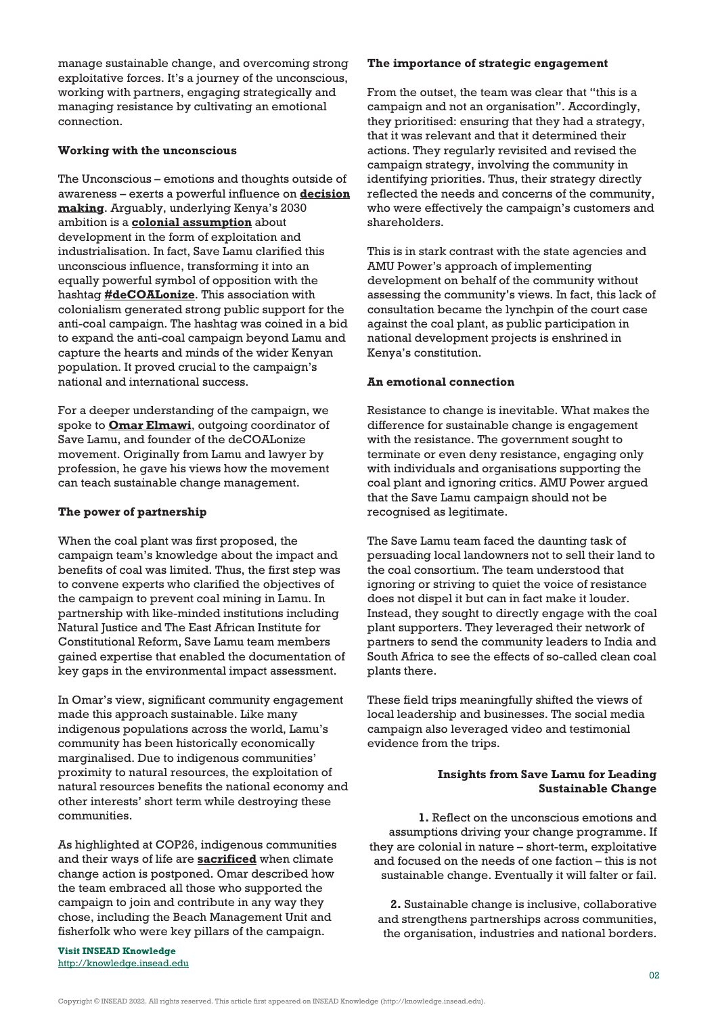manage sustainable change, and overcoming strong exploitative forces. It's a journey of the unconscious, working with partners, engaging strategically and managing resistance by cultivating an emotional connection.

### **Working with the unconscious**

The Unconscious – emotions and thoughts outside of awareness – exerts a powerful influence on **[decision](https://www.nytimes.com/2011/11/27/books/review/thinking-fast-and-slow-by-daniel-kahneman-book-review.html) [making](https://www.nytimes.com/2011/11/27/books/review/thinking-fast-and-slow-by-daniel-kahneman-book-review.html)**. Arguably, underlying Kenya's 2030 ambition is a **[colonial assumption](https://plato.stanford.edu/entries/colonialism/)** about development in the form of exploitation and industrialisation. In fact, Save Lamu clarified this unconscious influence, transforming it into an equally powerful symbol of opposition with the hashtag **[#deCOALonize](https://twitter.com/decoalonize)**. This association with colonialism generated strong public support for the anti-coal campaign. The hashtag was coined in a bid to expand the anti-coal campaign beyond Lamu and capture the hearts and minds of the wider Kenyan population. It proved crucial to the campaign's national and international success.

For a deeper understanding of the campaign, we spoke to **[Omar Elmawi](https://omarelmawi.com/)**, outgoing coordinator of Save Lamu, and founder of the deCOALonize movement. Originally from Lamu and lawyer by profession, he gave his views how the movement can teach sustainable change management.

## **The power of partnership**

When the coal plant was first proposed, the campaign team's knowledge about the impact and benefits of coal was limited. Thus, the first step was to convene experts who clarified the objectives of the campaign to prevent coal mining in Lamu. In partnership with like-minded institutions including Natural Justice and The East African Institute for Constitutional Reform, Save Lamu team members gained expertise that enabled the documentation of key gaps in the environmental impact assessment.

In Omar's view, significant community engagement made this approach sustainable. Like many indigenous populations across the world, Lamu's community has been historically economically marginalised. Due to indigenous communities' proximity to natural resources, the exploitation of natural resources benefits the national economy and other interests' short term while destroying these communities.

As highlighted at COP26, indigenous communities and their ways of life are **[sacrificed](https://www.theguardian.com/environment/2021/nov/16/indigenous-climate-activists-cop26-endangers-native-communities)** when climate change action is postponed. Omar described how the team embraced all those who supported the campaign to join and contribute in any way they chose, including the Beach Management Unit and fisherfolk who were key pillars of the campaign.

**Visit INSEAD Knowledge** <http://knowledge.insead.edu>

#### **The importance of strategic engagement**

From the outset, the team was clear that "this is a campaign and not an organisation". Accordingly, they prioritised: ensuring that they had a strategy, that it was relevant and that it determined their actions. They regularly revisited and revised the campaign strategy, involving the community in identifying priorities. Thus, their strategy directly reflected the needs and concerns of the community, who were effectively the campaign's customers and shareholders.

This is in stark contrast with the state agencies and AMU Power's approach of implementing development on behalf of the community without assessing the community's views. In fact, this lack of consultation became the lynchpin of the court case against the coal plant, as public participation in national development projects is enshrined in Kenya's constitution.

#### **An emotional connection**

Resistance to change is inevitable. What makes the difference for sustainable change is engagement with the resistance. The government sought to terminate or even deny resistance, engaging only with individuals and organisations supporting the coal plant and ignoring critics. AMU Power argued that the Save Lamu campaign should not be recognised as legitimate.

The Save Lamu team faced the daunting task of persuading local landowners not to sell their land to the coal consortium. The team understood that ignoring or striving to quiet the voice of resistance does not dispel it but can in fact make it louder. Instead, they sought to directly engage with the coal plant supporters. They leveraged their network of partners to send the community leaders to India and South Africa to see the effects of so-called clean coal plants there.

These field trips meaningfully shifted the views of local leadership and businesses. The social media campaign also leveraged video and testimonial evidence from the trips.

### **Insights from Save Lamu for Leading Sustainable Change**

**1.** Reflect on the unconscious emotions and assumptions driving your change programme. If they are colonial in nature – short-term, exploitative and focused on the needs of one faction – this is not sustainable change. Eventually it will falter or fail.

**2.** Sustainable change is inclusive, collaborative and strengthens partnerships across communities, the organisation, industries and national borders.